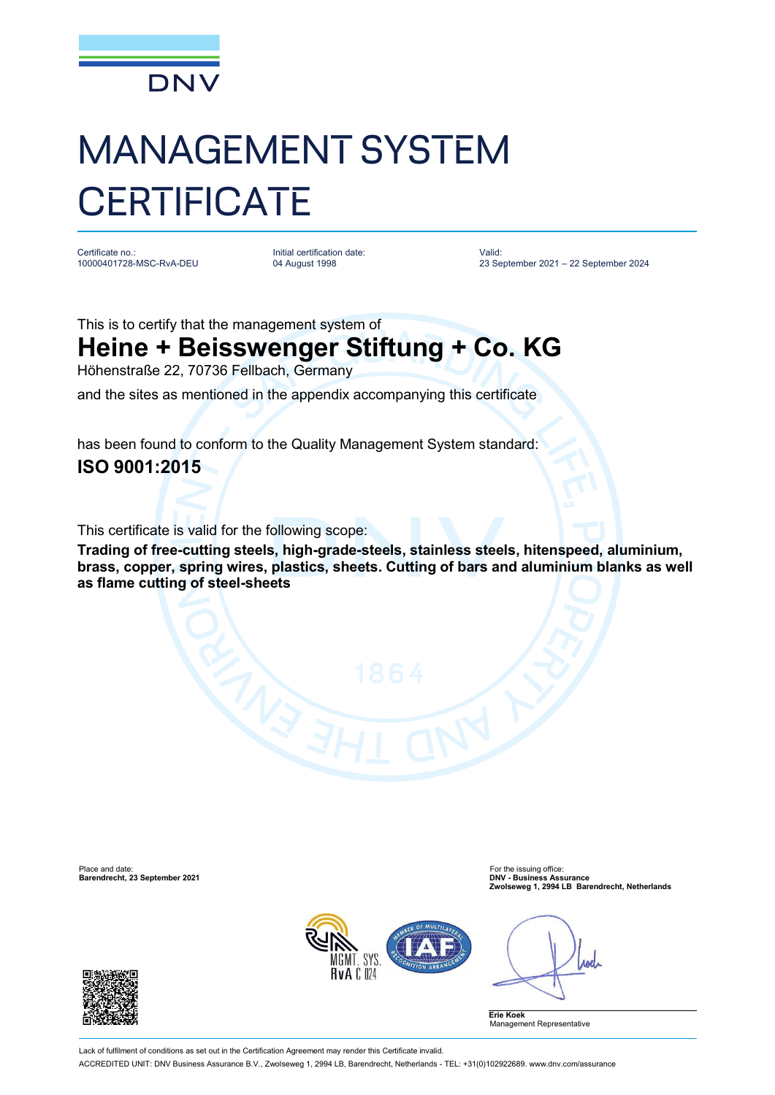

## MANAGEMENT SYSTEM **CERTIFICATE**

Certificate no.: 10000401728-MSC-RvA-DEU

Initial certification date: 04 August 1998

Valid: 23 September 2021 – 22 September 2024

This is to certify that the management system of

## **Heine + Beisswenger Stiftung + Co. KG**

Höhenstraße 22, 70736 Fellbach, Germany

and the sites as mentioned in the appendix accompanying this certificate

has been found to conform to the Quality Management System standard: **ISO 9001:2015**

This certificate is valid for the following scope:

**Trading of free-cutting steels, high-grade-steels, stainless steels, hitenspeed, aluminium, brass, copper, spring wires, plastics, sheets. Cutting of bars and aluminium blanks as well as flame cutting of steel-sheets**

Place and date: For the issuing office: **Barendrecht, 23 September 2021 DNV - Business Assurance**

**Zwolseweg 1, 2994 LB Barendrecht, Netherlands**



**And** 

**Erie Koek** Management Representative



Lack of fulfilment of conditions as set out in the Certification Agreement may render this Certificate invalid. ACCREDITED UNIT: DNV Business Assurance B.V., Zwolseweg 1, 2994 LB, Barendrecht, Netherlands - TEL: +31(0)102922689. [www.dnv.com/assurance](http://www.dnv.com/assurance)